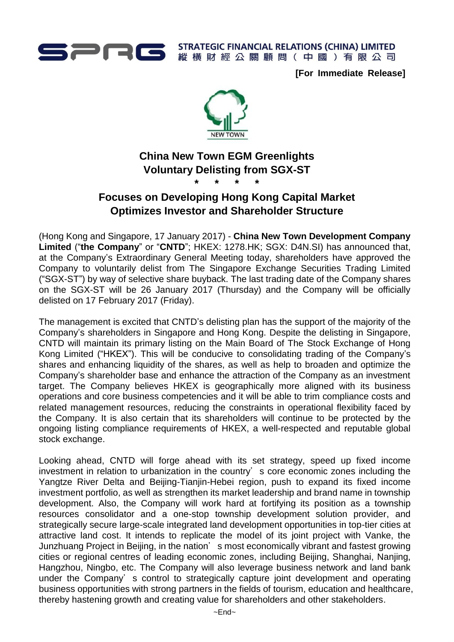

**STRATEGIC FINANCIAL RELATIONS (CHINA) LIMITED** 縱橫財經公關顧問(中國)有限公司

**[For Immediate Release]**



# **China New Town EGM Greenlights Voluntary Delisting from SGX-ST \* \* \* \***

# **Focuses on Developing Hong Kong Capital Market Optimizes Investor and Shareholder Structure**

(Hong Kong and Singapore, 17 January 2017) - **China New Town Development Company Limited** ("**the Company**" or "**CNTD**"; HKEX: 1278.HK; SGX: D4N.SI) has announced that, at the Company's Extraordinary General Meeting today, shareholders have approved the Company to voluntarily delist from The Singapore Exchange Securities Trading Limited ("SGX-ST") by way of selective share buyback. The last trading date of the Company shares on the SGX-ST will be 26 January 2017 (Thursday) and the Company will be officially delisted on 17 February 2017 (Friday).

The management is excited that CNTD's delisting plan has the support of the majority of the Company's shareholders in Singapore and Hong Kong. Despite the delisting in Singapore, CNTD will maintain its primary listing on the Main Board of The Stock Exchange of Hong Kong Limited ("HKEX"). This will be conducive to consolidating trading of the Company's shares and enhancing liquidity of the shares, as well as help to broaden and optimize the Company's shareholder base and enhance the attraction of the Company as an investment target. The Company believes HKEX is geographically more aligned with its business operations and core business competencies and it will be able to trim compliance costs and related management resources, reducing the constraints in operational flexibility faced by the Company. It is also certain that its shareholders will continue to be protected by the ongoing listing compliance requirements of HKEX, a well-respected and reputable global stock exchange.

Looking ahead, CNTD will forge ahead with its set strategy, speed up fixed income investment in relation to urbanization in the country's core economic zones including the Yangtze River Delta and Beijing-Tianjin-Hebei region, push to expand its fixed income investment portfolio, as well as strengthen its market leadership and brand name in township development. Also, the Company will work hard at fortifying its position as a township resources consolidator and a one-stop township development solution provider, and strategically secure large-scale integrated land development opportunities in top-tier cities at attractive land cost. It intends to replicate the model of its joint project with Vanke, the Junzhuang Project in Beijing, in the nation's most economically vibrant and fastest growing cities or regional centres of leading economic zones, including Beijing, Shanghai, Nanjing, Hangzhou, Ningbo, etc. The Company will also leverage business network and land bank under the Company's control to strategically capture joint development and operating business opportunities with strong partners in the fields of tourism, education and healthcare, thereby hastening growth and creating value for shareholders and other stakeholders.